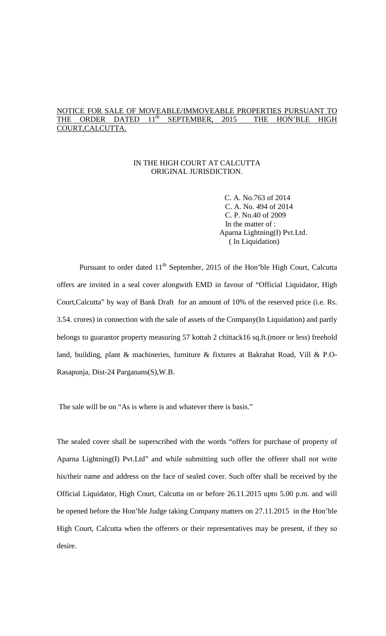# NOTICE FOR SALE OF MOVEABLE/IMMOVEABLE PROPERTIES PURSUANT TO THE ORDER DATED 11<sup>th</sup> SEPTEMBER, 2015 THE HON'BLE HIGH COURT,CALCUTTA.

### IN THE HIGH COURT AT CALCUTTA ORIGINAL JURISDICTION.

 C. A. No.763 of 2014 C. A. No. 494 of 2014 C. P. No.40 of 2009 In the matter of : Aparna Lightning(I) Pvt.Ltd. ( In Liquidation)

Pursuant to order dated 11<sup>th</sup> September, 2015 of the Hon'ble High Court, Calcutta offers are invited in a seal cover alongwith EMD in favour of "Official Liquidator, High Court,Calcutta" by way of Bank Draft for an amount of 10% of the reserved price (i.e. Rs. 3.54. crores) in connection with the sale of assets of the Company(In Liquidation) and partly belongs to guarantor property measuring 57 kottah 2 chittack16 sq.ft.(more or less) freehold land, building, plant & machineries, furniture & fixtures at Bakrahat Road, Vill & P.O-Rasapunja, Dist-24 Parganans(S),W.B.

The sale will be on "As is where is and whatever there is basis."

The sealed cover shall be superscribed with the words "offers for purchase of property of Aparna Lightning(I) Pvt.Ltd" and while submitting such offer the offerer shall not write his/their name and address on the face of sealed cover. Such offer shall be received by the Official Liquidator, High Court, Calcutta on or before 26.11.2015 upto 5.00 p.m. and will be opened before the Hon'ble Judge taking Company matters on 27.11.2015 in the Hon'ble High Court, Calcutta when the offerers or their representatives may be present, if they so desire.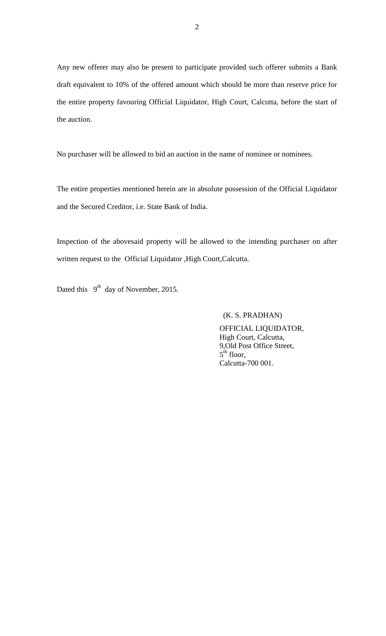Any new offerer may also be present to participate provided such offerer submits a Bank draft equivalent to 10% of the offered amount which should be more than reserve price for the entire property favouring Official Liquidator, High Court, Calcutta, before the start of the auction.

No purchaser will be allowed to bid an auction in the name of nominee or nominees.

The entire properties mentioned herein are in absolute possession of the Official Liquidator and the Secured Creditor, i.e. State Bank of India.

Inspection of the abovesaid property will be allowed to the intending purchaser on after written request to the Official Liquidator ,High Court,Calcutta.

Dated this 9<sup>th</sup> day of November, 2015.

## (K. S. PRADHAN)

 OFFICIAL LIQUIDATOR, High Court, Calcutta, 9,Old Post Office Street,  $5^{\text{th}}$  floor, Calcutta-700 001.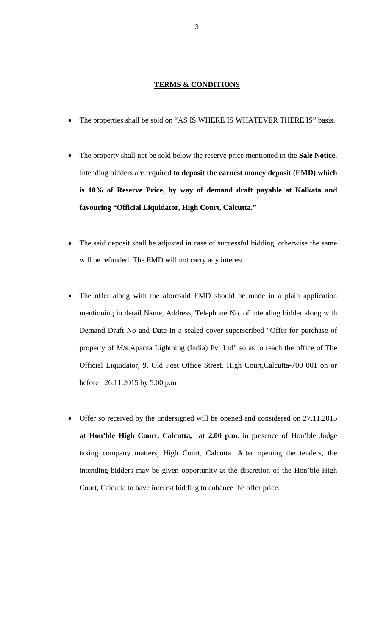#### **TERMS & CONDITIONS**

- · The properties shall be sold on "AS IS WHERE IS WHATEVER THERE IS" basis.
- · The property shall not be sold below the reserve price mentioned in the **Sale Notice.** Intending bidders are required **to deposit the earnest money deposit (EMD) which is 10% of Reserve Price, by way of demand draft payable at Kolkata and favouring "Official Liquidator, High Court, Calcutta."**
- The said deposit shall be adjusted in case of successful bidding, otherwise the same will be refunded. The EMD will not carry any interest.
- The offer along with the aforesaid EMD should be made in a plain application mentioning in detail Name, Address, Telephone No. of intending bidder along with Demand Draft No and Date in a sealed cover superscribed "Offer for purchase of property of M/s.Aparna Lightning (India) Pvt Ltd" so as to reach the office of The Official Liquidator, 9, Old Post Office Street, High Court,Calcutta-700 001 on or before 26.11.2015 by 5.00 p.m
- · Offer so received by the undersigned will be opened and considered on 27.11.2015 **at Hon'ble High Court, Calcutta, at 2.00 p.m**. in presence of Hon'ble Judge taking company matters, High Court, Calcutta. After opening the tenders, the intending bidders may be given opportunity at the discretion of the Hon'ble High Court, Calcutta to have interest bidding to enhance the offer price.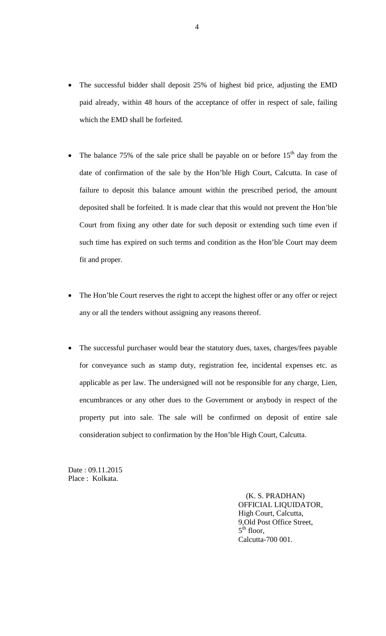- The successful bidder shall deposit 25% of highest bid price, adjusting the EMD paid already, within 48 hours of the acceptance of offer in respect of sale, failing which the EMD shall be forfeited.
- The balance 75% of the sale price shall be payable on or before  $15<sup>th</sup>$  day from the date of confirmation of the sale by the Hon'ble High Court, Calcutta. In case of failure to deposit this balance amount within the prescribed period, the amount deposited shall be forfeited. It is made clear that this would not prevent the Hon'ble Court from fixing any other date for such deposit or extending such time even if such time has expired on such terms and condition as the Hon'ble Court may deem fit and proper.
- The Hon'ble Court reserves the right to accept the highest offer or any offer or reject any or all the tenders without assigning any reasons thereof.
- The successful purchaser would bear the statutory dues, taxes, charges/fees payable for conveyance such as stamp duty, registration fee, incidental expenses etc. as applicable as per law. The undersigned will not be responsible for any charge, Lien, encumbrances or any other dues to the Government or anybody in respect of the property put into sale. The sale will be confirmed on deposit of entire sale consideration subject to confirmation by the Hon'ble High Court, Calcutta.

Date : 09.11.2015 Place : Kolkata.

> (K. S. PRADHAN) OFFICIAL LIQUIDATOR, High Court, Calcutta, 9,Old Post Office Street,  $5<sup>th</sup>$  floor, Calcutta-700 001.